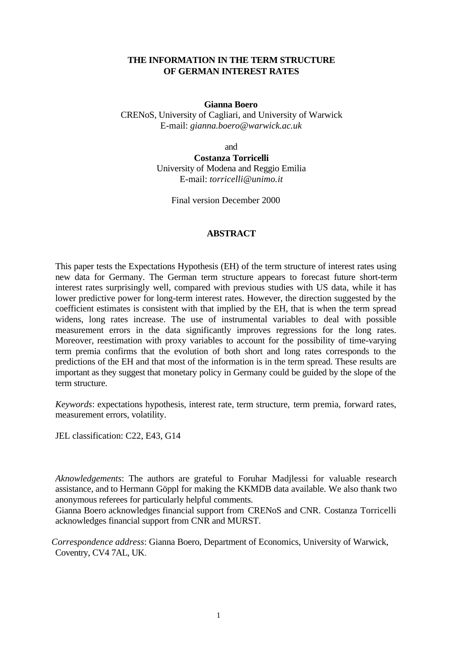## **THE INFORMATION IN THE TERM STRUCTURE OF GERMAN INTEREST RATES**

#### **Gianna Boero**

CRENoS, University of Cagliari, and University of Warwick E-mail: *gianna.boero@warwick.ac.uk*

and

**Costanza Torricelli** University of Modena and Reggio Emilia E-mail: *torricelli@unimo.it*

Final version December 2000

## **ABSTRACT**

This paper tests the Expectations Hypothesis (EH) of the term structure of interest rates using new data for Germany. The German term structure appears to forecast future short-term interest rates surprisingly well, compared with previous studies with US data, while it has lower predictive power for long-term interest rates. However, the direction suggested by the coefficient estimates is consistent with that implied by the EH, that is when the term spread widens, long rates increase. The use of instrumental variables to deal with possible measurement errors in the data significantly improves regressions for the long rates. Moreover, reestimation with proxy variables to account for the possibility of time-varying term premia confirms that the evolution of both short and long rates corresponds to the predictions of the EH and that most of the information is in the term spread. These results are important as they suggest that monetary policy in Germany could be guided by the slope of the term structure.

*Keywords*: expectations hypothesis, interest rate, term structure, term premia, forward rates, measurement errors, volatility.

JEL classification: C22, E43, G14

*Aknowledgements*: The authors are grateful to Foruhar Madjlessi for valuable research assistance, and to Hermann Göppl for making the KKMDB data available. We also thank two anonymous referees for particularly helpful comments.

Gianna Boero acknowledges financial support from CRENoS and CNR. Costanza Torricelli acknowledges financial support from CNR and MURST.

*Correspondence address*: Gianna Boero, Department of Economics, University of Warwick, Coventry, CV4 7AL, UK.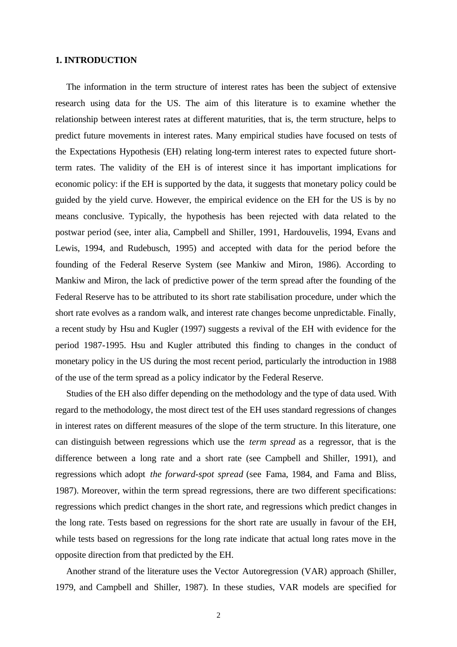## **1. INTRODUCTION**

The information in the term structure of interest rates has been the subject of extensive research using data for the US. The aim of this literature is to examine whether the relationship between interest rates at different maturities, that is, the term structure, helps to predict future movements in interest rates. Many empirical studies have focused on tests of the Expectations Hypothesis (EH) relating long-term interest rates to expected future shortterm rates. The validity of the EH is of interest since it has important implications for economic policy: if the EH is supported by the data, it suggests that monetary policy could be guided by the yield curve. However, the empirical evidence on the EH for the US is by no means conclusive. Typically, the hypothesis has been rejected with data related to the postwar period (see, inter alia, Campbell and Shiller, 1991, Hardouvelis, 1994, Evans and Lewis, 1994, and Rudebusch, 1995) and accepted with data for the period before the founding of the Federal Reserve System (see Mankiw and Miron, 1986). According to Mankiw and Miron, the lack of predictive power of the term spread after the founding of the Federal Reserve has to be attributed to its short rate stabilisation procedure, under which the short rate evolves as a random walk, and interest rate changes become unpredictable. Finally, a recent study by Hsu and Kugler (1997) suggests a revival of the EH with evidence for the period 1987-1995. Hsu and Kugler attributed this finding to changes in the conduct of monetary policy in the US during the most recent period, particularly the introduction in 1988 of the use of the term spread as a policy indicator by the Federal Reserve.

Studies of the EH also differ depending on the methodology and the type of data used. With regard to the methodology, the most direct test of the EH uses standard regressions of changes in interest rates on different measures of the slope of the term structure. In this literature, one can distinguish between regressions which use the *term spread* as a regressor, that is the difference between a long rate and a short rate (see Campbell and Shiller, 1991), and regressions which adopt *the forward-spot spread* (see Fama, 1984, and Fama and Bliss, 1987). Moreover, within the term spread regressions, there are two different specifications: regressions which predict changes in the short rate, and regressions which predict changes in the long rate. Tests based on regressions for the short rate are usually in favour of the EH, while tests based on regressions for the long rate indicate that actual long rates move in the opposite direction from that predicted by the EH.

Another strand of the literature uses the Vector Autoregression (VAR) approach (Shiller, 1979, and Campbell and Shiller, 1987). In these studies, VAR models are specified for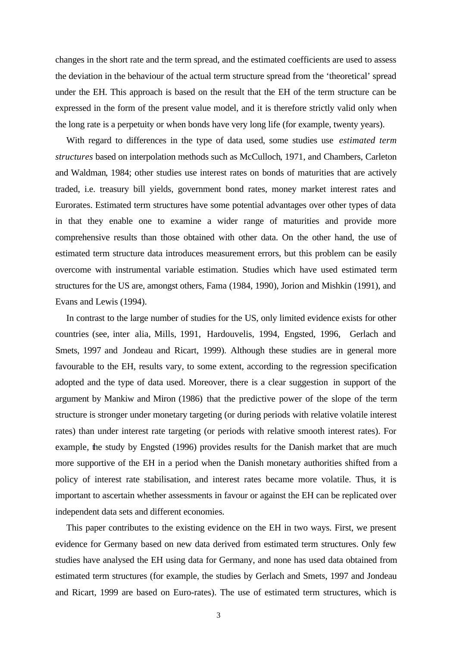changes in the short rate and the term spread, and the estimated coefficients are used to assess the deviation in the behaviour of the actual term structure spread from the 'theoretical' spread under the EH. This approach is based on the result that the EH of the term structure can be expressed in the form of the present value model, and it is therefore strictly valid only when the long rate is a perpetuity or when bonds have very long life (for example, twenty years).

With regard to differences in the type of data used, some studies use *estimated term structures* based on interpolation methods such as McCulloch, 1971, and Chambers, Carleton and Waldman, 1984; other studies use interest rates on bonds of maturities that are actively traded, i.e. treasury bill yields, government bond rates, money market interest rates and Eurorates. Estimated term structures have some potential advantages over other types of data in that they enable one to examine a wider range of maturities and provide more comprehensive results than those obtained with other data. On the other hand, the use of estimated term structure data introduces measurement errors, but this problem can be easily overcome with instrumental variable estimation. Studies which have used estimated term structures for the US are, amongst others, Fama (1984, 1990), Jorion and Mishkin (1991), and Evans and Lewis (1994).

In contrast to the large number of studies for the US, only limited evidence exists for other countries (see, inter alia, Mills, 1991, Hardouvelis, 1994, Engsted, 1996, Gerlach and Smets, 1997 and Jondeau and Ricart, 1999). Although these studies are in general more favourable to the EH, results vary, to some extent, according to the regression specification adopted and the type of data used. Moreover, there is a clear suggestion in support of the argument by Mankiw and Miron (1986) that the predictive power of the slope of the term structure is stronger under monetary targeting (or during periods with relative volatile interest rates) than under interest rate targeting (or periods with relative smooth interest rates). For example, the study by Engsted (1996) provides results for the Danish market that are much more supportive of the EH in a period when the Danish monetary authorities shifted from a policy of interest rate stabilisation, and interest rates became more volatile. Thus, it is important to ascertain whether assessments in favour or against the EH can be replicated over independent data sets and different economies.

This paper contributes to the existing evidence on the EH in two ways. First, we present evidence for Germany based on new data derived from estimated term structures. Only few studies have analysed the EH using data for Germany, and none has used data obtained from estimated term structures (for example, the studies by Gerlach and Smets, 1997 and Jondeau and Ricart, 1999 are based on Euro-rates). The use of estimated term structures, which is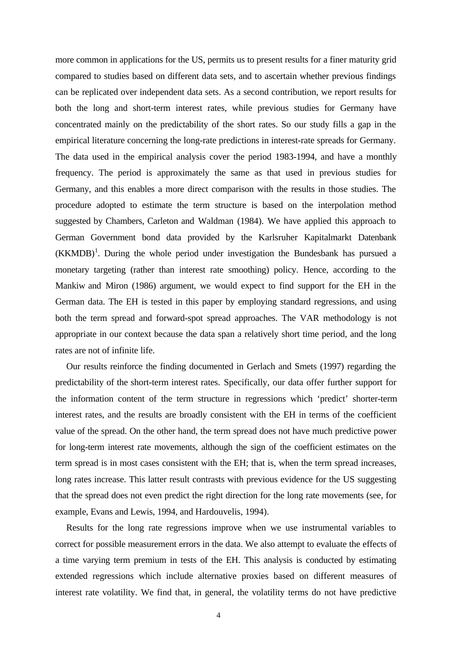more common in applications for the US, permits us to present results for a finer maturity grid compared to studies based on different data sets, and to ascertain whether previous findings can be replicated over independent data sets. As a second contribution, we report results for both the long and short-term interest rates, while previous studies for Germany have concentrated mainly on the predictability of the short rates. So our study fills a gap in the empirical literature concerning the long-rate predictions in interest-rate spreads for Germany. The data used in the empirical analysis cover the period 1983-1994, and have a monthly frequency. The period is approximately the same as that used in previous studies for Germany, and this enables a more direct comparison with the results in those studies. The procedure adopted to estimate the term structure is based on the interpolation method suggested by Chambers, Carleton and Waldman (1984). We have applied this approach to German Government bond data provided by the Karlsruher Kapitalmarkt Datenbank  $(KKMDB)^1$ . During the whole period under investigation the Bundesbank has pursued a monetary targeting (rather than interest rate smoothing) policy. Hence, according to the Mankiw and Miron (1986) argument, we would expect to find support for the EH in the German data. The EH is tested in this paper by employing standard regressions, and using both the term spread and forward-spot spread approaches. The VAR methodology is not appropriate in our context because the data span a relatively short time period, and the long rates are not of infinite life.

Our results reinforce the finding documented in Gerlach and Smets (1997) regarding the predictability of the short-term interest rates. Specifically, our data offer further support for the information content of the term structure in regressions which 'predict' shorter-term interest rates, and the results are broadly consistent with the EH in terms of the coefficient value of the spread. On the other hand, the term spread does not have much predictive power for long-term interest rate movements, although the sign of the coefficient estimates on the term spread is in most cases consistent with the EH; that is, when the term spread increases, long rates increase. This latter result contrasts with previous evidence for the US suggesting that the spread does not even predict the right direction for the long rate movements (see, for example, Evans and Lewis, 1994, and Hardouvelis, 1994).

Results for the long rate regressions improve when we use instrumental variables to correct for possible measurement errors in the data. We also attempt to evaluate the effects of a time varying term premium in tests of the EH. This analysis is conducted by estimating extended regressions which include alternative proxies based on different measures of interest rate volatility. We find that, in general, the volatility terms do not have predictive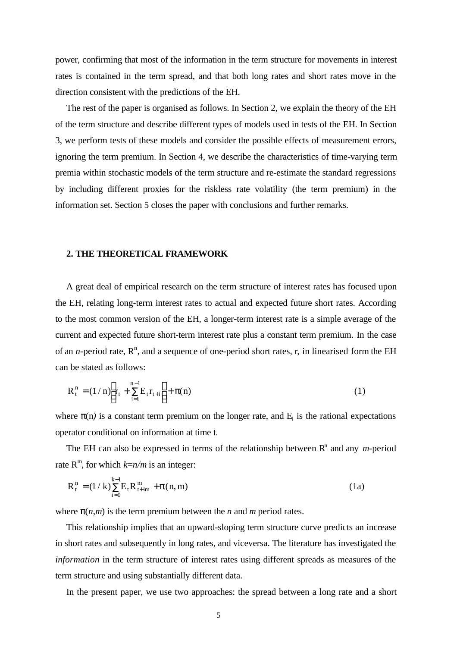power, confirming that most of the information in the term structure for movements in interest rates is contained in the term spread, and that both long rates and short rates move in the direction consistent with the predictions of the EH.

The rest of the paper is organised as follows. In Section 2, we explain the theory of the EH of the term structure and describe different types of models used in tests of the EH. In Section 3, we perform tests of these models and consider the possible effects of measurement errors, ignoring the term premium. In Section 4, we describe the characteristics of time-varying term premia within stochastic models of the term structure and re-estimate the standard regressions by including different proxies for the riskless rate volatility (the term premium) in the information set. Section 5 closes the paper with conclusions and further remarks.

#### **2. THE THEORETICAL FRAMEWORK**

A great deal of empirical research on the term structure of interest rates has focused upon the EH, relating long-term interest rates to actual and expected future short rates. According to the most common version of the EH, a longer-term interest rate is a simple average of the current and expected future short-term interest rate plus a constant term premium. In the case of an *n*-period rate,  $R^n$ , and a sequence of one-period short rates, r, in linearised form the EH can be stated as follows:

$$
R_t^n = (1/n) \left[ r_t + \sum_{i=1}^{n-1} E_t r_{t+i} \right] + \pi(n)
$$
 (1)

where  $p(n)$  is a constant term premium on the longer rate, and  $E_t$  is the rational expectations operator conditional on information at time t.

The EH can also be expressed in terms of the relationship between  $R<sup>n</sup>$  and any *m*-period rate  $R^m$ , for which  $k=n/m$  is an integer:

$$
R_t^n = (1 / k) \sum_{i=0}^{k-1} E_t R_{t+im}^m + p(n, m)
$$
 (1a)

where  $p(n,m)$  is the term premium between the *n* and *m* period rates.

This relationship implies that an upward-sloping term structure curve predicts an increase in short rates and subsequently in long rates, and viceversa. The literature has investigated the *information* in the term structure of interest rates using different spreads as measures of the term structure and using substantially different data.

In the present paper, we use two approaches: the spread between a long rate and a short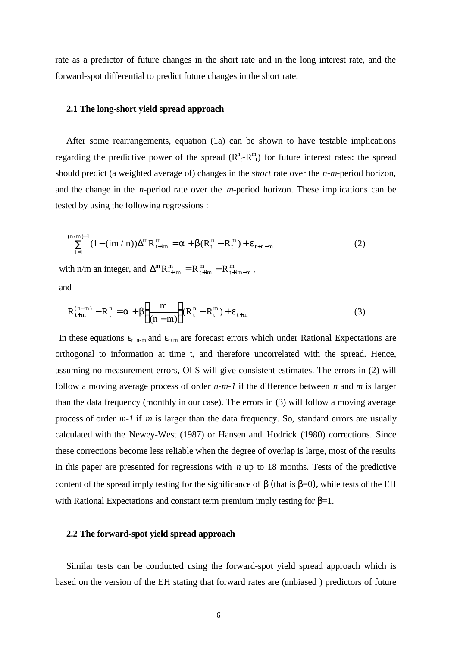rate as a predictor of future changes in the short rate and in the long interest rate, and the forward-spot differential to predict future changes in the short rate.

## **2.1 The long-short yield spread approach**

After some rearrangements, equation (1a) can be shown to have testable implications regarding the predictive power of the spread  $(R^n_t-R^n_t)$  for future interest rates: the spread should predict (a weighted average of) changes in the *short* rate over the *n-m*-period horizon, and the change in the *n*-period rate over the *m*-period horizon. These implications can be tested by using the following regressions :

$$
\sum_{i=1}^{(n/m)-1} (1 - (im/n)) \Delta^m R_{t+im}^m = a + b(R_t^n - R_t^m) + e_{t+n-m}
$$
 (2)

with n/m an integer, and  $\Delta^m$ t+im m  $t + im$ m  $R_{t+im}^{m} = R_{t+im}^{m} - R_{t+im-m}^{m}$ and

$$
R_{t+m}^{(n-m)} - R_t^n = a + b \left( \frac{m}{(n-m)} \right) (R_t^n - R_t^m) + e_{t+m}
$$
 (3)

In these equations  $\varepsilon_{t+n-m}$  and  $\varepsilon_{t+m}$  are forecast errors which under Rational Expectations are orthogonal to information at time t, and therefore uncorrelated with the spread. Hence, assuming no measurement errors, OLS will give consistent estimates. The errors in (2) will follow a moving average process of order *n-m-1* if the difference between *n* and *m* is larger than the data frequency (monthly in our case). The errors in (3) will follow a moving average process of order *m-1* if *m* is larger than the data frequency. So, standard errors are usually calculated with the Newey-West (1987) or Hansen and Hodrick (1980) corrections. Since these corrections become less reliable when the degree of overlap is large, most of the results in this paper are presented for regressions with *n* up to 18 months. Tests of the predictive content of the spread imply testing for the significance of  $\beta$  (that is  $\beta=0$ ), while tests of the EH with Rational Expectations and constant term premium imply testing for  $\beta=1$ .

## **2.2 The forward-spot yield spread approach**

Similar tests can be conducted using the forward-spot yield spread approach which is based on the version of the EH stating that forward rates are (unbiased ) predictors of future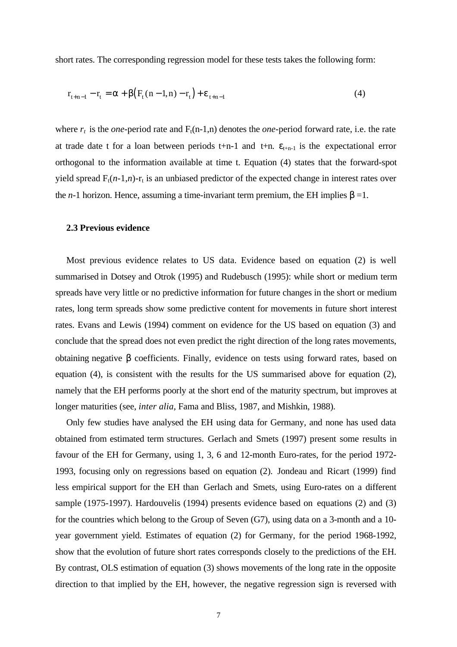short rates. The corresponding regression model for these tests takes the following form:

$$
r_{t+n-1} - r_t = a + b(F_t(n-1,n) - r_t) + e_{t+n-1}
$$
\n(4)

where  $r_t$  is the *one*-period rate and  $F_t(n-1,n)$  denotes the *one*-period forward rate, i.e. the rate at trade date t for a loan between periods t+n-1 and t+n.  $\varepsilon$ <sub>t+n-1</sub> is the expectational error orthogonal to the information available at time t. Equation (4) states that the forward-spot yield spread  $F_t(n-1,n)$ -r<sub>t</sub> is an unbiased predictor of the expected change in interest rates over the *n*-1 horizon. Hence, assuming a time-invariant term premium, the EH implies  $\beta = 1$ .

#### **2.3 Previous evidence**

Most previous evidence relates to US data. Evidence based on equation (2) is well summarised in Dotsey and Otrok (1995) and Rudebusch (1995): while short or medium term spreads have very little or no predictive information for future changes in the short or medium rates, long term spreads show some predictive content for movements in future short interest rates. Evans and Lewis (1994) comment on evidence for the US based on equation (3) and conclude that the spread does not even predict the right direction of the long rates movements, obtaining negative β coefficients. Finally, evidence on tests using forward rates, based on equation (4), is consistent with the results for the US summarised above for equation (2), namely that the EH performs poorly at the short end of the maturity spectrum, but improves at longer maturities (see, *inter alia*, Fama and Bliss, 1987, and Mishkin, 1988).

Only few studies have analysed the EH using data for Germany, and none has used data obtained from estimated term structures. Gerlach and Smets (1997) present some results in favour of the EH for Germany, using 1, 3, 6 and 12-month Euro-rates, for the period 1972- 1993, focusing only on regressions based on equation (2). Jondeau and Ricart (1999) find less empirical support for the EH than Gerlach and Smets, using Euro-rates on a different sample (1975-1997). Hardouvelis (1994) presents evidence based on equations (2) and (3) for the countries which belong to the Group of Seven (G7), using data on a 3-month and a 10 year government yield. Estimates of equation (2) for Germany, for the period 1968-1992, show that the evolution of future short rates corresponds closely to the predictions of the EH. By contrast, OLS estimation of equation (3) shows movements of the long rate in the opposite direction to that implied by the EH, however, the negative regression sign is reversed with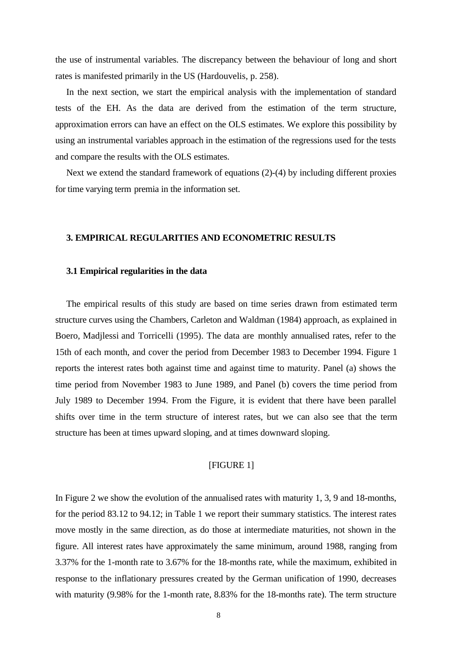the use of instrumental variables. The discrepancy between the behaviour of long and short rates is manifested primarily in the US (Hardouvelis, p. 258).

In the next section, we start the empirical analysis with the implementation of standard tests of the EH. As the data are derived from the estimation of the term structure, approximation errors can have an effect on the OLS estimates. We explore this possibility by using an instrumental variables approach in the estimation of the regressions used for the tests and compare the results with the OLS estimates.

Next we extend the standard framework of equations (2)-(4) by including different proxies for time varying term premia in the information set.

#### **3. EMPIRICAL REGULARITIES AND ECONOMETRIC RESULTS**

#### **3.1 Empirical regularities in the data**

The empirical results of this study are based on time series drawn from estimated term structure curves using the Chambers, Carleton and Waldman (1984) approach, as explained in Boero, Madjlessi and Torricelli (1995). The data are monthly annualised rates, refer to the 15th of each month, and cover the period from December 1983 to December 1994. Figure 1 reports the interest rates both against time and against time to maturity. Panel (a) shows the time period from November 1983 to June 1989, and Panel (b) covers the time period from July 1989 to December 1994. From the Figure, it is evident that there have been parallel shifts over time in the term structure of interest rates, but we can also see that the term structure has been at times upward sloping, and at times downward sloping.

#### [FIGURE 1]

In Figure 2 we show the evolution of the annualised rates with maturity 1, 3, 9 and 18-months, for the period 83.12 to 94.12; in Table 1 we report their summary statistics. The interest rates move mostly in the same direction, as do those at intermediate maturities, not shown in the figure. All interest rates have approximately the same minimum, around 1988, ranging from 3.37% for the 1-month rate to 3.67% for the 18-months rate, while the maximum, exhibited in response to the inflationary pressures created by the German unification of 1990, decreases with maturity (9.98% for the 1-month rate, 8.83% for the 18-months rate). The term structure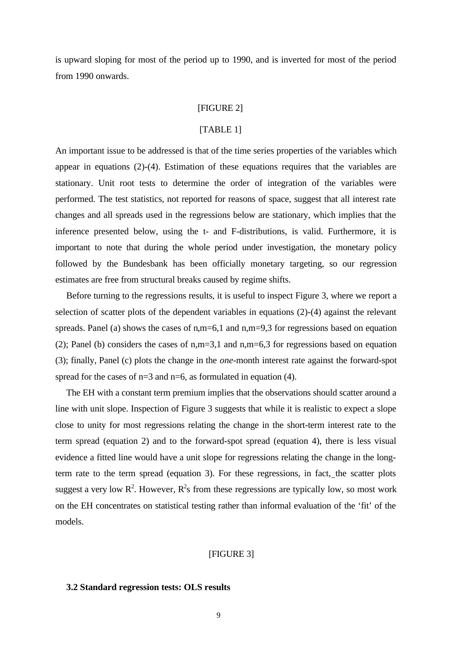is upward sloping for most of the period up to 1990, and is inverted for most of the period from 1990 onwards.

#### [FIGURE 2]

## [TABLE 1]

An important issue to be addressed is that of the time series properties of the variables which appear in equations (2)-(4). Estimation of these equations requires that the variables are stationary. Unit root tests to determine the order of integration of the variables were performed. The test statistics, not reported for reasons of space, suggest that all interest rate changes and all spreads used in the regressions below are stationary, which implies that the inference presented below, using the t- and F-distributions, is valid. Furthermore, it is important to note that during the whole period under investigation, the monetary policy followed by the Bundesbank has been officially monetary targeting, so our regression estimates are free from structural breaks caused by regime shifts.

Before turning to the regressions results, it is useful to inspect Figure 3, where we report a selection of scatter plots of the dependent variables in equations (2)-(4) against the relevant spreads. Panel (a) shows the cases of n,m=6,1 and n,m=9,3 for regressions based on equation (2); Panel (b) considers the cases of n,m=3,1 and n,m=6,3 for regressions based on equation (3); finally, Panel (c) plots the change in the *one*-month interest rate against the forward-spot spread for the cases of  $n=3$  and  $n=6$ , as formulated in equation (4).

The EH with a constant term premium implies that the observations should scatter around a line with unit slope. Inspection of Figure 3 suggests that while it is realistic to expect a slope close to unity for most regressions relating the change in the short-term interest rate to the term spread (equation 2) and to the forward-spot spread (equation 4), there is less visual evidence a fitted line would have a unit slope for regressions relating the change in the longterm rate to the term spread (equation 3). For these regressions, in fact, the scatter plots suggest a very low  $R^2$ . However,  $R^2$ s from these regressions are typically low, so most work on the EH concentrates on statistical testing rather than informal evaluation of the 'fit' of the models.

## [FIGURE 3]

#### **3.2 Standard regression tests: OLS results**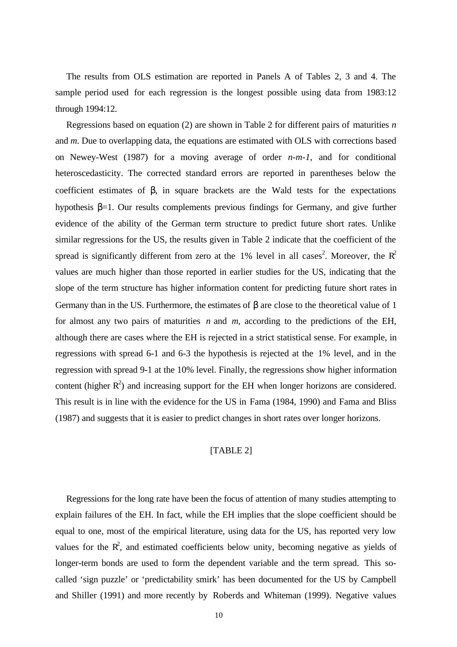The results from OLS estimation are reported in Panels A of Tables 2, 3 and 4. The sample period used for each regression is the longest possible using data from 1983:12 through 1994:12.

Regressions based on equation (2) are shown in Table 2 for different pairs of maturities *n* and *m*. Due to overlapping data, the equations are estimated with OLS with corrections based on Newey-West (1987) for a moving average of order *n-m-1*, and for conditional heteroscedasticity. The corrected standard errors are reported in parentheses below the coefficient estimates of β, in square brackets are the Wald tests for the expectations hypothesis β=1. Our results complements previous findings for Germany, and give further evidence of the ability of the German term structure to predict future short rates. Unlike similar regressions for the US, the results given in Table 2 indicate that the coefficient of the spread is significantly different from zero at the 1% level in all cases<sup>2</sup>. Moreover, the  $R^2$ values are much higher than those reported in earlier studies for the US, indicating that the slope of the term structure has higher information content for predicting future short rates in Germany than in the US. Furthermore, the estimates of  $\beta$  are close to the theoretical value of 1 for almost any two pairs of maturities *n* and *m*, according to the predictions of the EH, although there are cases where the EH is rejected in a strict statistical sense. For example, in regressions with spread 6-1 and 6-3 the hypothesis is rejected at the 1% level, and in the regression with spread 9-1 at the 10% level. Finally, the regressions show higher information content (higher  $R^2$ ) and increasing support for the EH when longer horizons are considered. This result is in line with the evidence for the US in Fama (1984, 1990) and Fama and Bliss (1987) and suggests that it is easier to predict changes in short rates over longer horizons.

## [TABLE 2]

Regressions for the long rate have been the focus of attention of many studies attempting to explain failures of the EH. In fact, while the EH implies that the slope coefficient should be equal to one, most of the empirical literature, using data for the US, has reported very low values for the  $\mathbb{R}^2$ , and estimated coefficients below unity, becoming negative as yields of longer-term bonds are used to form the dependent variable and the term spread. This socalled 'sign puzzle' or 'predictability smirk' has been documented for the US by Campbell and Shiller (1991) and more recently by Roberds and Whiteman (1999). Negative values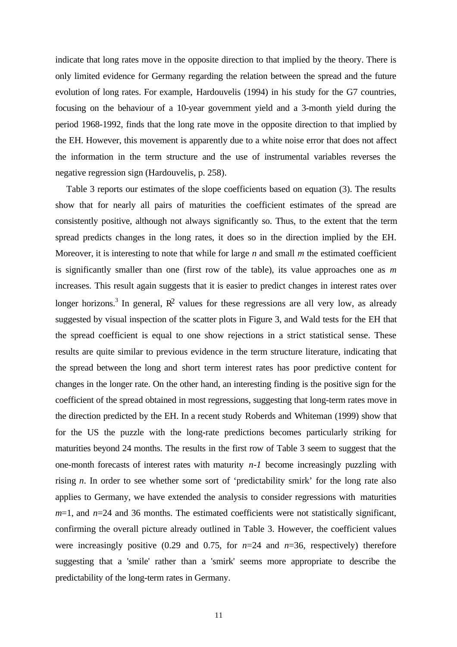indicate that long rates move in the opposite direction to that implied by the theory. There is only limited evidence for Germany regarding the relation between the spread and the future evolution of long rates. For example, Hardouvelis (1994) in his study for the G7 countries, focusing on the behaviour of a 10-year government yield and a 3-month yield during the period 1968-1992, finds that the long rate move in the opposite direction to that implied by the EH. However, this movement is apparently due to a white noise error that does not affect the information in the term structure and the use of instrumental variables reverses the negative regression sign (Hardouvelis, p. 258).

Table 3 reports our estimates of the slope coefficients based on equation (3). The results show that for nearly all pairs of maturities the coefficient estimates of the spread are consistently positive, although not always significantly so. Thus, to the extent that the term spread predicts changes in the long rates, it does so in the direction implied by the EH. Moreover, it is interesting to note that while for large *n* and small *m* the estimated coefficient is significantly smaller than one (first row of the table), its value approaches one as *m* increases*.* This result again suggests that it is easier to predict changes in interest rates over longer horizons.<sup>3</sup> In general,  $\mathbb{R}^2$  values for these regressions are all very low, as already suggested by visual inspection of the scatter plots in Figure 3, and Wald tests for the EH that the spread coefficient is equal to one show rejections in a strict statistical sense. These results are quite similar to previous evidence in the term structure literature, indicating that the spread between the long and short term interest rates has poor predictive content for changes in the longer rate. On the other hand, an interesting finding is the positive sign for the coefficient of the spread obtained in most regressions, suggesting that long-term rates move in the direction predicted by the EH. In a recent study Roberds and Whiteman (1999) show that for the US the puzzle with the long-rate predictions becomes particularly striking for maturities beyond 24 months. The results in the first row of Table 3 seem to suggest that the one-month forecasts of interest rates with maturity *n-1* become increasingly puzzling with rising *n*. In order to see whether some sort of 'predictability smirk' for the long rate also applies to Germany, we have extended the analysis to consider regressions with maturities *m*=1, and *n*=24 and 36 months. The estimated coefficients were not statistically significant, confirming the overall picture already outlined in Table 3. However, the coefficient values were increasingly positive (0.29 and 0.75, for  $n=24$  and  $n=36$ , respectively) therefore suggesting that a 'smile' rather than a 'smirk' seems more appropriate to describe the predictability of the long-term rates in Germany.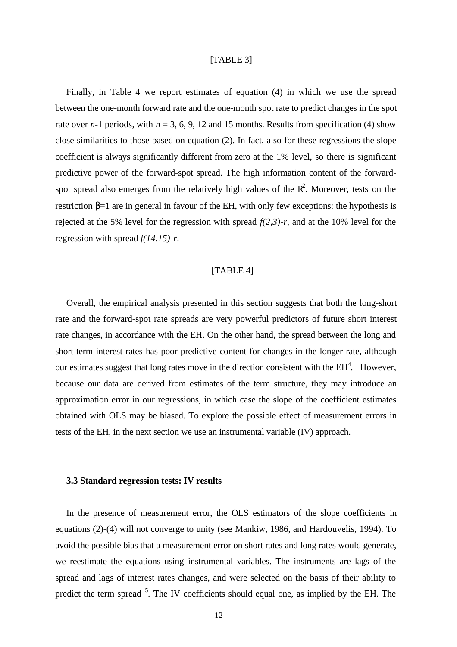## [TABLE 3]

Finally, in Table 4 we report estimates of equation (4) in which we use the spread between the one-month forward rate and the one-month spot rate to predict changes in the spot rate over *n*-1 periods, with  $n = 3, 6, 9, 12$  and 15 months. Results from specification (4) show close similarities to those based on equation (2). In fact, also for these regressions the slope coefficient is always significantly different from zero at the 1% level, so there is significant predictive power of the forward-spot spread. The high information content of the forwardspot spread also emerges from the relatively high values of the  $R^2$ . Moreover, tests on the restriction  $\beta$ =1 are in general in favour of the EH, with only few exceptions: the hypothesis is rejected at the 5% level for the regression with spread *f(2,3)-r*, and at the 10% level for the regression with spread *f(14,15)-r*.

## [TABLE 4]

Overall, the empirical analysis presented in this section suggests that both the long-short rate and the forward-spot rate spreads are very powerful predictors of future short interest rate changes, in accordance with the EH. On the other hand, the spread between the long and short-term interest rates has poor predictive content for changes in the longer rate, although our estimates suggest that long rates move in the direction consistent with the  $EH<sup>4</sup>$ . However, because our data are derived from estimates of the term structure, they may introduce an approximation error in our regressions, in which case the slope of the coefficient estimates obtained with OLS may be biased. To explore the possible effect of measurement errors in tests of the EH, in the next section we use an instrumental variable (IV) approach.

#### **3.3 Standard regression tests: IV results**

In the presence of measurement error, the OLS estimators of the slope coefficients in equations (2)-(4) will not converge to unity (see Mankiw, 1986, and Hardouvelis, 1994). To avoid the possible bias that a measurement error on short rates and long rates would generate, we reestimate the equations using instrumental variables. The instruments are lags of the spread and lags of interest rates changes, and were selected on the basis of their ability to predict the term spread <sup>5</sup>. The IV coefficients should equal one, as implied by the EH. The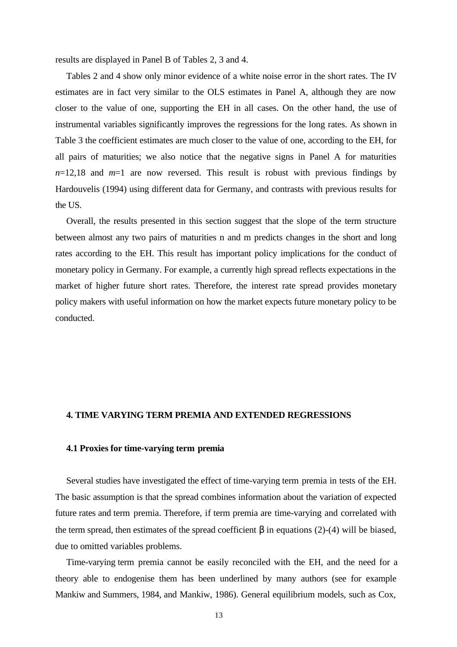results are displayed in Panel B of Tables 2, 3 and 4.

Tables 2 and 4 show only minor evidence of a white noise error in the short rates. The IV estimates are in fact very similar to the OLS estimates in Panel A, although they are now closer to the value of one, supporting the EH in all cases. On the other hand, the use of instrumental variables significantly improves the regressions for the long rates. As shown in Table 3 the coefficient estimates are much closer to the value of one, according to the EH, for all pairs of maturities; we also notice that the negative signs in Panel A for maturities  $n=12,18$  and  $m=1$  are now reversed. This result is robust with previous findings by Hardouvelis (1994) using different data for Germany, and contrasts with previous results for the US.

Overall, the results presented in this section suggest that the slope of the term structure between almost any two pairs of maturities n and m predicts changes in the short and long rates according to the EH. This result has important policy implications for the conduct of monetary policy in Germany. For example, a currently high spread reflects expectations in the market of higher future short rates. Therefore, the interest rate spread provides monetary policy makers with useful information on how the market expects future monetary policy to be conducted.

#### **4. TIME VARYING TERM PREMIA AND EXTENDED REGRESSIONS**

## **4.1 Proxies for time-varying term premia**

Several studies have investigated the effect of time-varying term premia in tests of the EH. The basic assumption is that the spread combines information about the variation of expected future rates and term premia. Therefore, if term premia are time-varying and correlated with the term spread, then estimates of the spread coefficient  $\beta$  in equations (2)-(4) will be biased, due to omitted variables problems.

Time-varying term premia cannot be easily reconciled with the EH, and the need for a theory able to endogenise them has been underlined by many authors (see for example Mankiw and Summers, 1984, and Mankiw, 1986). General equilibrium models, such as Cox,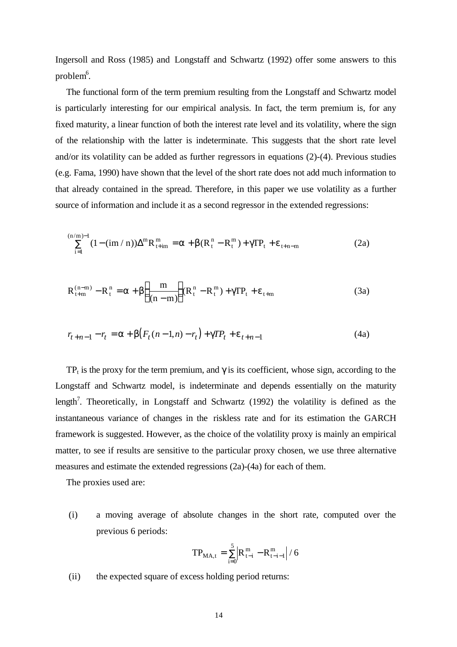Ingersoll and Ross (1985) and Longstaff and Schwartz (1992) offer some answers to this problem $6$ .

The functional form of the term premium resulting from the Longstaff and Schwartz model is particularly interesting for our empirical analysis. In fact, the term premium is, for any fixed maturity, a linear function of both the interest rate level and its volatility, where the sign of the relationship with the latter is indeterminate. This suggests that the short rate level and/or its volatility can be added as further regressors in equations (2)-(4). Previous studies (e.g. Fama, 1990) have shown that the level of the short rate does not add much information to that already contained in the spread. Therefore, in this paper we use volatility as a further source of information and include it as a second regressor in the extended regressions:

$$
\sum_{i=1}^{(n/m)-1} (1 - (im/n))\Delta^m R_{t+im}^m = a + b(R_t^n - R_t^m) + gTP_t + e_{t+n-m}
$$
 (2a)

$$
R_{t+m}^{(n-m)} - R_t^n = a + b \left( \frac{m}{(n-m)} \right) (R_t^n - R_t^m) + g T P_t + e_{t+m}
$$
 (3a)

$$
r_{t+n-1} - r_t = a + b(F_t(n-1,n) - r_t) + gTP_t + e_{t+n-1}
$$
\n(4a)

TP<sub>t</sub> is the proxy for the term premium, and  $\gamma$  is its coefficient, whose sign, according to the Longstaff and Schwartz model, is indeterminate and depends essentially on the maturity length<sup>7</sup>. Theoretically, in Longstaff and Schwartz (1992) the volatility is defined as the instantaneous variance of changes in the riskless rate and for its estimation the GARCH framework is suggested. However, as the choice of the volatility proxy is mainly an empirical matter, to see if results are sensitive to the particular proxy chosen, we use three alternative measures and estimate the extended regressions (2a)-(4a) for each of them.

The proxies used are:

(i) a moving average of absolute changes in the short rate, computed over the previous 6 periods:

$$
TP_{\rm MA,t}=\sum_{i=0}^{5}\Bigl|R_{t-i}^{\,m}-R_{t-i-1}^{\,m}\Bigr| \,/\,6
$$

(ii) the expected square of excess holding period returns: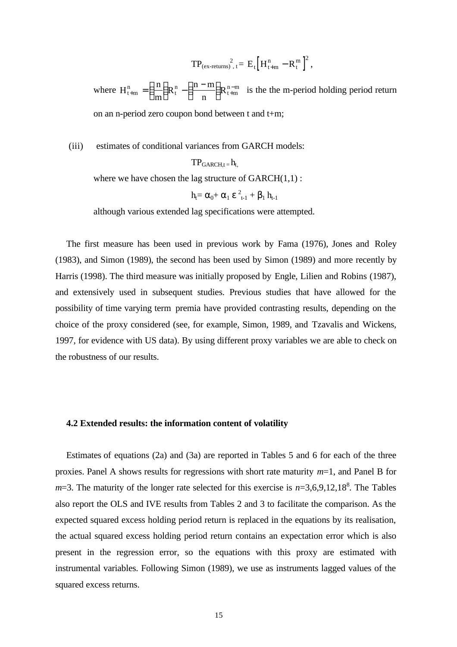$$
TP_{(ex\text{-returns})}^2, t = E_t \Big[ H^n_{t+m} - R^m_t \Big]^2 \,,
$$

where  $H_{t+m}^{n} = \left(\frac{n}{t}\right)$ m  $R_t^n - \left( \frac{n-m}{n} \right)$  $n_{n+m} = \left(\frac{n}{m}\right) R_{t}^{n} - \left(\frac{n-m}{n}\right) R_{t+m}^{n-m}$  $\left(\frac{\text{n}}{\text{m}}\right)$  $R_t^n - \left(\frac{n-1}{n}\right)$  $\left(\frac{n-m}{n}\right)$  $\int R_{t+m}^{n-m}$  is the the m-period holding period return on an n-period zero coupon bond between t and t+m;

(iii) estimates of conditional variances from GARCH models:

 $TP_{GARCH,t} = h_t$ where we have chosen the lag structure of  $GARCH(1,1)$ :

$$
h_t = \alpha_0 + \alpha_1 \varepsilon_{t-1}^2 + \beta_1 h_{t-1}
$$

although various extended lag specifications were attempted.

The first measure has been used in previous work by Fama (1976), Jones and Roley (1983), and Simon (1989), the second has been used by Simon (1989) and more recently by Harris (1998). The third measure was initially proposed by Engle, Lilien and Robins (1987), and extensively used in subsequent studies. Previous studies that have allowed for the possibility of time varying term premia have provided contrasting results, depending on the choice of the proxy considered (see, for example, Simon, 1989, and Tzavalis and Wickens, 1997, for evidence with US data). By using different proxy variables we are able to check on the robustness of our results.

## **4.2 Extended results: the information content of volatility**

Estimates of equations (2a) and (3a) are reported in Tables 5 and 6 for each of the three proxies. Panel A shows results for regressions with short rate maturity *m*=1, and Panel B for  $m=3$ . The maturity of the longer rate selected for this exercise is  $n=3,6,9,12,18^8$ . The Tables also report the OLS and IVE results from Tables 2 and 3 to facilitate the comparison. As the expected squared excess holding period return is replaced in the equations by its realisation, the actual squared excess holding period return contains an expectation error which is also present in the regression error, so the equations with this proxy are estimated with instrumental variables. Following Simon (1989), we use as instruments lagged values of the squared excess returns.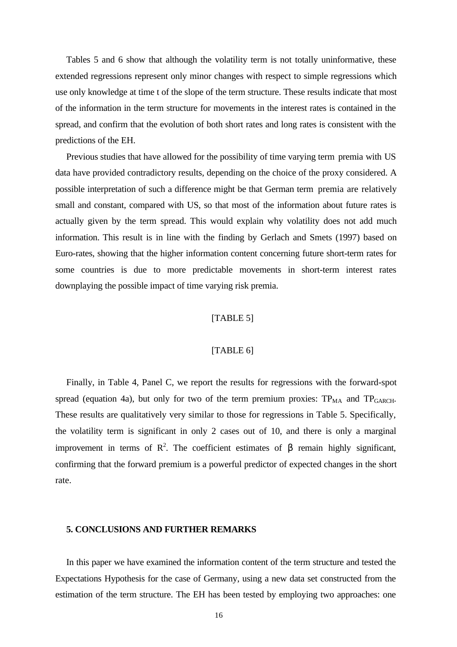Tables 5 and 6 show that although the volatility term is not totally uninformative, these extended regressions represent only minor changes with respect to simple regressions which use only knowledge at time t of the slope of the term structure. These results indicate that most of the information in the term structure for movements in the interest rates is contained in the spread, and confirm that the evolution of both short rates and long rates is consistent with the predictions of the EH.

Previous studies that have allowed for the possibility of time varying term premia with US data have provided contradictory results, depending on the choice of the proxy considered. A possible interpretation of such a difference might be that German term premia are relatively small and constant, compared with US, so that most of the information about future rates is actually given by the term spread. This would explain why volatility does not add much information. This result is in line with the finding by Gerlach and Smets (1997) based on Euro-rates, showing that the higher information content concerning future short-term rates for some countries is due to more predictable movements in short-term interest rates downplaying the possible impact of time varying risk premia.

# [TABLE 5]

## [TABLE 6]

Finally, in Table 4, Panel C, we report the results for regressions with the forward-spot spread (equation 4a), but only for two of the term premium proxies:  $TP<sub>MA</sub>$  and  $TP<sub>GARCH</sub>$ . These results are qualitatively very similar to those for regressions in Table 5. Specifically, the volatility term is significant in only 2 cases out of 10, and there is only a marginal improvement in terms of  $\mathbb{R}^2$ . The coefficient estimates of  $\beta$  remain highly significant, confirming that the forward premium is a powerful predictor of expected changes in the short rate.

## **5. CONCLUSIONS AND FURTHER REMARKS**

In this paper we have examined the information content of the term structure and tested the Expectations Hypothesis for the case of Germany, using a new data set constructed from the estimation of the term structure. The EH has been tested by employing two approaches: one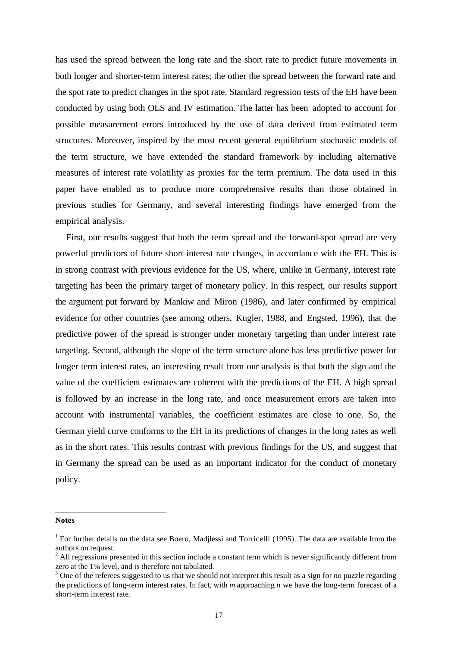has used the spread between the long rate and the short rate to predict future movements in both longer and shorter-term interest rates; the other the spread between the forward rate and the spot rate to predict changes in the spot rate. Standard regression tests of the EH have been conducted by using both OLS and IV estimation. The latter has been adopted to account for possible measurement errors introduced by the use of data derived from estimated term structures. Moreover, inspired by the most recent general equilibrium stochastic models of the term structure, we have extended the standard framework by including alternative measures of interest rate volatility as proxies for the term premium. The data used in this paper have enabled us to produce more comprehensive results than those obtained in previous studies for Germany, and several interesting findings have emerged from the empirical analysis.

First, our results suggest that both the term spread and the forward-spot spread are very powerful predictors of future short interest rate changes, in accordance with the EH. This is in strong contrast with previous evidence for the US, where, unlike in Germany, interest rate targeting has been the primary target of monetary policy. In this respect, our results support the argument put forward by Mankiw and Miron (1986), and later confirmed by empirical evidence for other countries (see among others, Kugler, 1988, and Engsted, 1996), that the predictive power of the spread is stronger under monetary targeting than under interest rate targeting. Second, although the slope of the term structure alone has less predictive power for longer term interest rates, an interesting result from our analysis is that both the sign and the value of the coefficient estimates are coherent with the predictions of the EH. A high spread is followed by an increase in the long rate, and once measurement errors are taken into account with instrumental variables, the coefficient estimates are close to one. So, the German yield curve conforms to the EH in its predictions of changes in the long rates as well as in the short rates. This results contrast with previous findings for the US, and suggest that in Germany the spread can be used as an important indicator for the conduct of monetary policy.

#### **Notes**

 $\overline{a}$ 

<sup>&</sup>lt;sup>1</sup> For further details on the data see Boero, Madjlessi and Torricelli (1995). The data are available from the authors on request.<br><sup>2</sup> All regressions presented in this section include a constant term which is never significantly different from

zero at the 1% level, and is therefore not tabulated.

 $3$  One of the referees suggested to us that we should not interpret this result as a sign for no puzzle regarding the predictions of long-term interest rates. In fact, with *m* approaching *n* we have the long-term forecast of a short-term interest rate.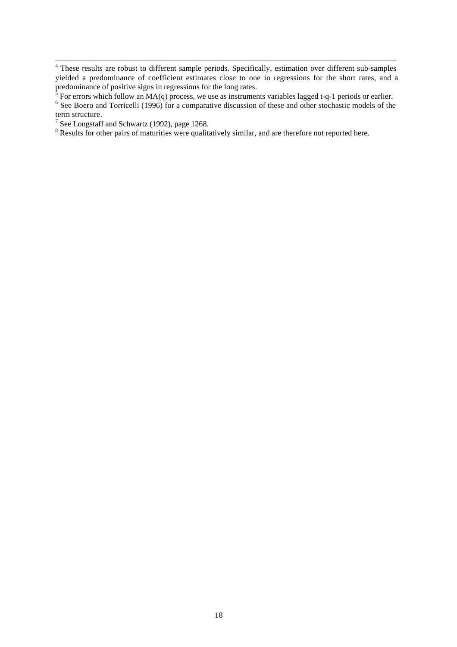<sup>&</sup>lt;sup>4</sup> These results are robust to different sample periods. Specifically, estimation over different sub-samples yielded a predominance of coefficient estimates close to one in regressions for the short rates, and a predominance of positive signs in regressions for the long rates.<br> $\frac{5}{2}$  For array which follow on MA(a) process, we use as instruments

For errors which follow an MA(q) process, we use as instruments variables lagged t-q-1 periods or earlier.

<sup>&</sup>lt;sup>6</sup> See Boero and Torricelli (1996) for a comparative discussion of these and other stochastic models of the term structure.

<sup>7</sup> See Longstaff and Schwartz (1992), page 1268.

 $8$  Results for other pairs of maturities were qualitatively similar, and are therefore not reported here.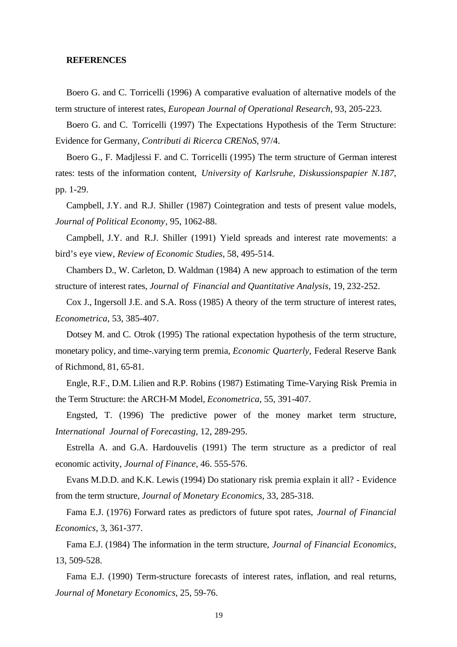#### **REFERENCES**

Boero G. and C. Torricelli (1996) A comparative evaluation of alternative models of the term structure of interest rates, *European Journal of Operational Research*, 93, 205-223.

Boero G. and C. Torricelli (1997) The Expectations Hypothesis of the Term Structure: Evidence for Germany, *Contributi di Ricerca CRENoS*, 97/4.

Boero G., F. Madjlessi F. and C. Torricelli (1995) The term structure of German interest rates: tests of the information content, *University of Karlsruhe, Diskussionspapier N.187*, pp. 1-29.

Campbell, J.Y. and R.J. Shiller (1987) Cointegration and tests of present value models, *Journal of Political Economy*, 95, 1062-88.

Campbell, J.Y. and R.J. Shiller (1991) Yield spreads and interest rate movements: a bird's eye view, *Review of Economic Studies*, 58, 495-514.

Chambers D., W. Carleton, D. Waldman (1984) A new approach to estimation of the term structure of interest rates, *Journal of Financial and Quantitative Analysis*, 19, 232-252.

Cox J., Ingersoll J.E. and S.A. Ross (1985) A theory of the term structure of interest rates, *Econometrica*, 53, 385-407.

Dotsey M. and C. Otrok (1995) The rational expectation hypothesis of the term structure, monetary policy, and time-.varying term premia, *Economic Quarterly*, Federal Reserve Bank of Richmond, 81, 65-81.

Engle, R.F., D.M. Lilien and R.P. Robins (1987) Estimating Time-Varying Risk Premia in the Term Structure: the ARCH-M Model, *Econometrica*, 55, 391-407.

Engsted, T. (1996) The predictive power of the money market term structure, *International Journal of Forecasting,* 12, 289-295.

Estrella A. and G.A. Hardouvelis (1991) The term structure as a predictor of real economic activity, *Journal of Finance*, 46. 555-576.

Evans M.D.D. and K.K. Lewis (1994) Do stationary risk premia explain it all? - Evidence from the term structure, *Journal of Monetary Economics*, 33, 285-318.

Fama E.J. (1976) Forward rates as predictors of future spot rates, *Journal of Financial Economics*, 3, 361-377.

Fama E.J. (1984) The information in the term structure, *Journal of Financial Economics*, 13, 509-528.

Fama E.J. (1990) Term-structure forecasts of interest rates, inflation, and real returns, *Journal of Monetary Economics*, 25, 59-76.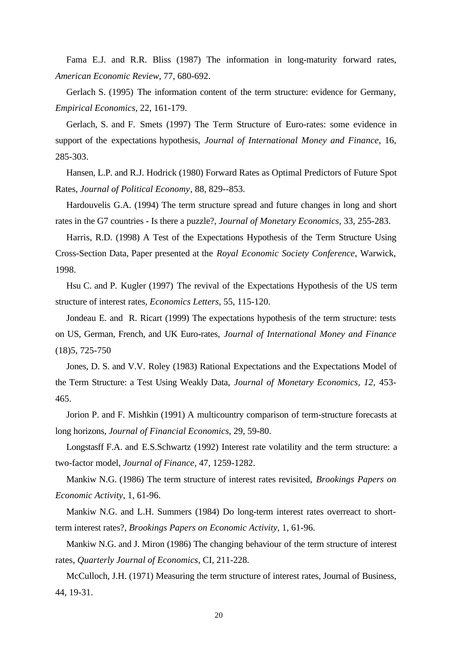Fama E.J. and R.R. Bliss (1987) The information in long-maturity forward rates, *American Economic Review*, 77, 680-692.

Gerlach S. (1995) The information content of the term structure: evidence for Germany, *Empirical Economics,* 22, 161-179.

Gerlach, S. and F. Smets (1997) The Term Structure of Euro-rates: some evidence in support of the expectations hypothesis, *Journal of International Money and Finance*, 16, 285-303.

Hansen, L.P. and R.J. Hodrick (1980) Forward Rates as Optimal Predictors of Future Spot Rates, *Journal of Political Economy*, 88, 829--853.

Hardouvelis G.A. (1994) The term structure spread and future changes in long and short rates in the G7 countries - Is there a puzzle?, *Journal of Monetary Economics,* 33, 255-283.

Harris, R.D. (1998) A Test of the Expectations Hypothesis of the Term Structure Using Cross-Section Data, Paper presented at the *Royal Economic Society Conference*, Warwick, 1998.

Hsu C. and P. Kugler (1997) The revival of the Expectations Hypothesis of the US term structure of interest rates*, Economics Letters*, 55, 115-120.

Jondeau E. and R. Ricart (1999) The expectations hypothesis of the term structure: tests on US, German, French, and UK Euro-rates, *Journal of International Money and Finance* (18)5, 725-750

Jones, D. S. and V.V. Roley (1983) Rational Expectations and the Expectations Model of the Term Structure: a Test Using Weakly Data, *Journal of Monetary Economics, 12,* 453- 465.

Jorion P. and F. Mishkin (1991) A multicountry comparison of term-structure forecasts at long horizons, *Journal of Financial Economics*, 29, 59-80.

Longstasff F.A. and E.S.Schwartz (1992) Interest rate volatility and the term structure: a two-factor model, *Journal of Finance*, 47, 1259-1282.

Mankiw N.G. (1986) The term structure of interest rates revisited, *Brookings Papers on Economic Activity*, 1, 61-96.

Mankiw N.G. and L.H. Summers (1984) Do long-term interest rates overreact to shortterm interest rates?, *Brookings Papers on Economic Activity*, 1, 61-96.

Mankiw N.G. and J. Miron (1986) The changing behaviour of the term structure of interest rates, *Quarterly Journal of Economics,* CI, 211-228.

McCulloch, J.H. (1971) Measuring the term structure of interest rates, Journal of Business, 44, 19-31.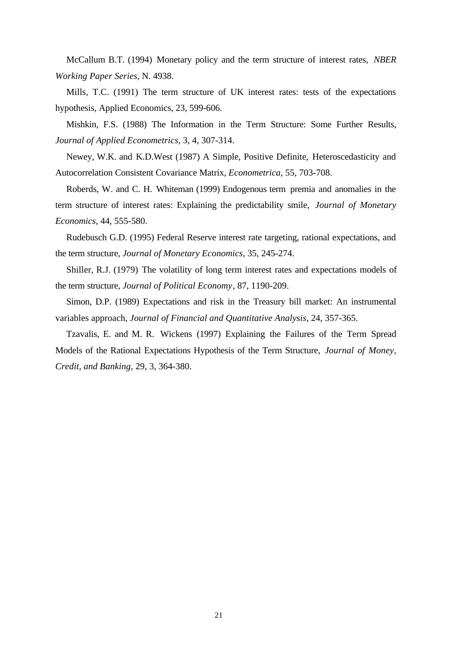McCallum B.T. (1994) Monetary policy and the term structure of interest rates, *NBER Working Paper Series*, N. 4938.

Mills, T.C. (1991) The term structure of UK interest rates: tests of the expectations hypothesis, Applied Economics, 23, 599-606.

Mishkin, F.S. (1988) The Information in the Term Structure: Some Further Results, *Journal of Applied Econometrics*, 3, 4, 307-314.

Newey, W.K. and K.D.West (1987) A Simple, Positive Definite, Heteroscedasticity and Autocorrelation Consistent Covariance Matrix, *Econometrica*, 55, 703-708.

Roberds, W. and C. H. Whiteman (1999) Endogenous term premia and anomalies in the term structure of interest rates: Explaining the predictability smile, *Journal of Monetary Economics*, 44, 555-580.

Rudebusch G.D. (1995) Federal Reserve interest rate targeting, rational expectations, and the term structure, *Journal of Monetary Economics*, 35, 245-274.

Shiller, R.J. (1979) The volatility of long term interest rates and expectations models of the term structure, *Journal of Political Economy*, 87, 1190-209.

Simon, D.P. (1989) Expectations and risk in the Treasury bill market: An instrumental variables approach, *Journal of Financial and Quantitative Analysis*, 24, 357-365.

Tzavalis, E. and M. R. Wickens (1997) Explaining the Failures of the Term Spread Models of the Rational Expectations Hypothesis of the Term Structure, *Journal of Money, Credit, and Banking,* 29, 3, 364-380.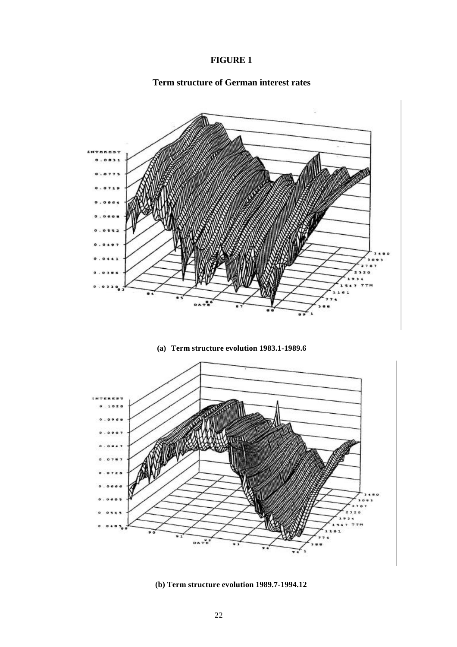

# **Term structure of German interest rates**



**(a) Term structure evolution 1983.1-1989.6**



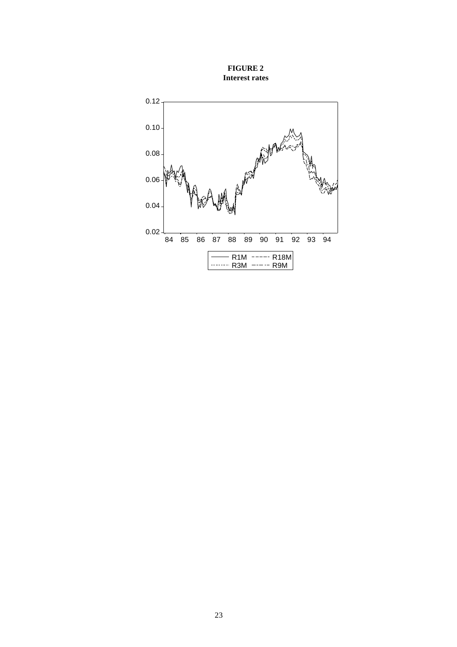

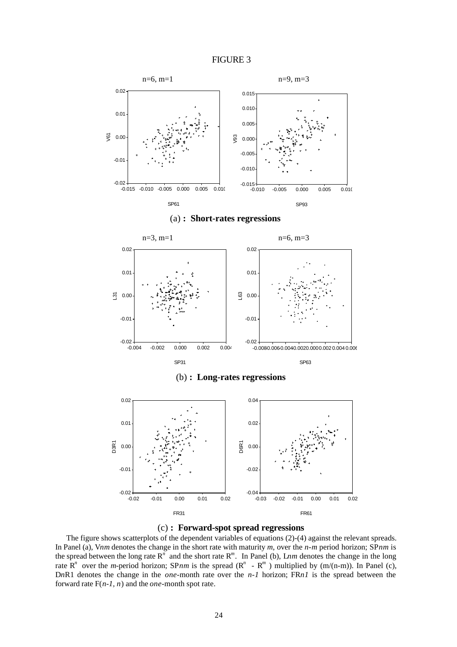





The figure shows scatterplots of the dependent variables of equations (2)-(4) against the relevant spreads. In Panel (a), V*nm* denotes the change in the short rate with maturity *m*, over the *n-m* period horizon; SP*nm* is the spread between the long rate  $R^n$  and the short rate  $R^m$ . In Panel (b), Lnm denotes the change in the long rate  $\mathbb{R}^n$  over the *m*-period horizon; SP*nm* is the spread ( $\mathbb{R}^n$  -  $\mathbb{R}^m$ ) multiplied by (m/(n-m)). In Panel (c), D*n*R1 denotes the change in the *one*-month rate over the *n-1* horizon; FR*n1* is the spread between the forward rate F(*n-1, n*) and the *one*-month spot rate.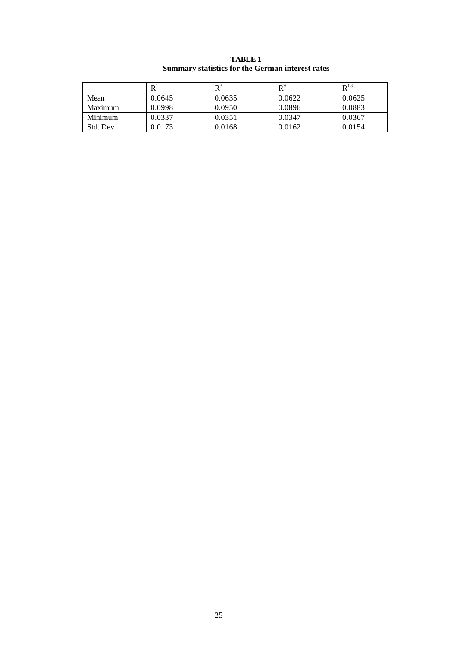|  | TABLE 1<br><b>Summary statistics for the German interest rates</b> |  |
|--|--------------------------------------------------------------------|--|
|  | n.                                                                 |  |

ä

|          | R      | $\mathbf{D}^{\mathcal{L}}$ | $R^9$  | $R^{18}$ |
|----------|--------|----------------------------|--------|----------|
| Mean     | 0.0645 | 0.0635                     | 0.0622 | 0.0625   |
| Maximum  | 0.0998 | 0.0950                     | 0.0896 | 0.0883   |
| Minimum  | 0.0337 | 0.0351                     | 0.0347 | 0.0367   |
| Std. Dev | 0.0173 | 0.0168                     | 0.0162 | 0.0154   |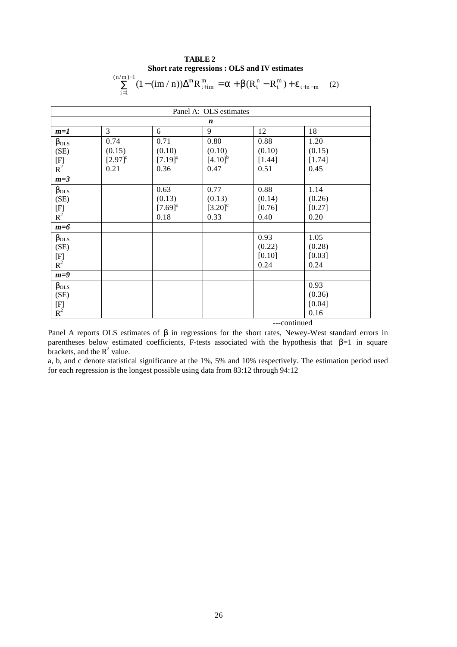#### **TABLE 2 Short rate regressions : OLS and IV estimates**  $\sum_{n=1}^{\infty} (1 - (\text{im} / n)) \Delta^m R_{1+\text{im}}^m = a + b(R_1^n - R_1^m)$ 1  $\sum_{n=1}^{\infty} (1 - (\text{im} / n)) \Delta^{m} R_{\text{t+im}}^{m} = a + b(R_{t}^{n} - R_{t}^{m}) +$ = −  $\lim / n)$ ) $\Delta^m R_{t+im}^m = a + b(R_t^n - R_t^m) + e_{t+n-1}$ i  $n/m$ t+im m t n  $\Delta^m R_{t+im}^m = a + b(R_t^n - R_t^m) + e_{t+n-m}$  (2)

| Panel A: OLS estimates                                    |                       |                       |                       |          |        |  |  |  |
|-----------------------------------------------------------|-----------------------|-----------------------|-----------------------|----------|--------|--|--|--|
|                                                           |                       |                       | $\boldsymbol{n}$      |          |        |  |  |  |
| $m=1$                                                     | 3                     | 6                     | 9                     | 12       | 18     |  |  |  |
| $\beta_{OLS}$                                             | 0.74                  | 0.71                  | 0.80                  | 0.88     | 1.20   |  |  |  |
| (SE)                                                      | (0.15)                | (0.10)                | (0.10)                | (0.10)   | (0.15) |  |  |  |
| $\begin{array}{c} \rm [F] \\ \rm R^2 \end{array}$         | $[2.97]$ <sup>c</sup> | $[7.19]$ <sup>a</sup> | $[4.10]^{b}$          | $[1.44]$ | [1.74] |  |  |  |
|                                                           | 0.21                  | 0.36                  | 0.47                  | 0.51     | 0.45   |  |  |  |
| $m=3$                                                     |                       |                       |                       |          |        |  |  |  |
| $\beta_{OLS}$                                             |                       | 0.63                  | 0.77                  | 0.88     | 1.14   |  |  |  |
| (SE)                                                      |                       | (0.13)                | (0.13)                | (0.14)   | (0.26) |  |  |  |
| $\begin{array}{c} \rm [F] \\ \rm R^2 \end{array}$         |                       | $[7.69]^{a}$          | $[3.20]$ <sup>c</sup> | [0.76]   | [0.27] |  |  |  |
|                                                           |                       | 0.18                  | 0.33                  | 0.40     | 0.20   |  |  |  |
| $m=6$                                                     |                       |                       |                       |          |        |  |  |  |
| $\beta_{OLS}$                                             |                       |                       |                       | 0.93     | 1.05   |  |  |  |
| (SE)                                                      |                       |                       |                       | (0.22)   | (0.28) |  |  |  |
| $\begin{matrix} [\mathrm{F}] \ \mathrm{R}^2 \end{matrix}$ |                       |                       |                       | $[0.10]$ | [0.03] |  |  |  |
|                                                           |                       |                       |                       | 0.24     | 0.24   |  |  |  |
| $m=9$                                                     |                       |                       |                       |          |        |  |  |  |
| $\beta_{OLS}$                                             |                       |                       |                       |          | 0.93   |  |  |  |
| (SE)                                                      |                       |                       |                       |          | (0.36) |  |  |  |
|                                                           |                       |                       |                       |          | [0.04] |  |  |  |
| $\begin{array}{c} \rm [F] \\ \rm R^2 \end{array}$         |                       |                       |                       |          | 0.16   |  |  |  |
|                                                           | ---continued          |                       |                       |          |        |  |  |  |

Panel A reports OLS estimates of  $\beta$  in regressions for the short rates, Newey-West standard errors in parentheses below estimated coefficients, F-tests associated with the hypothesis that  $\beta=1$  in square brackets, and the  $R^2$  value.

a, b, and c denote statistical significance at the 1%, 5% and 10% respectively. The estimation period used for each regression is the longest possible using data from 83:12 through 94:12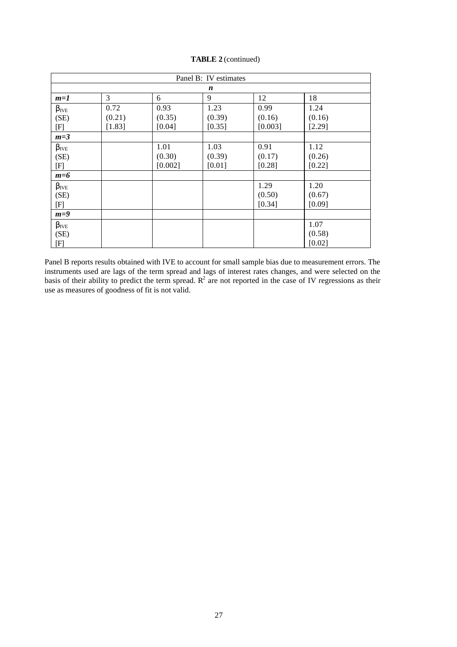| Panel B: IV estimates |        |         |        |         |        |  |  |  |
|-----------------------|--------|---------|--------|---------|--------|--|--|--|
|                       | n      |         |        |         |        |  |  |  |
| $m=1$                 | 3      | 6       | 9      | 12      | 18     |  |  |  |
| $\beta_{IVE}$         | 0.72   | 0.93    | 1.23   | 0.99    | 1.24   |  |  |  |
| (SE)                  | (0.21) | (0.35)  | (0.39) | (0.16)  | (0.16) |  |  |  |
| $[\mathrm{F}]$        | [1.83] | [0.04]  | [0.35] | [0.003] | [2.29] |  |  |  |
| $m=3$                 |        |         |        |         |        |  |  |  |
| $\beta_{IVE}$         |        | 1.01    | 1.03   | 0.91    | 1.12   |  |  |  |
| (SE)                  |        | (0.30)  | (0.39) | (0.17)  | (0.26) |  |  |  |
| [F]                   |        | [0.002] | [0.01] | [0.28]  | [0.22] |  |  |  |
| $m=6$                 |        |         |        |         |        |  |  |  |
| $\beta_{\text{IVE}}$  |        |         |        | 1.29    | 1.20   |  |  |  |
| (SE)                  |        |         |        | (0.50)  | (0.67) |  |  |  |
| $[\mathrm{F}]$        |        |         |        | [0.34]  | [0.09] |  |  |  |
| $m=9$                 |        |         |        |         |        |  |  |  |
| $\beta_{IVE}$         |        |         |        |         | 1.07   |  |  |  |
| (SE)                  |        |         |        |         | (0.58) |  |  |  |
| [F]                   |        |         |        |         | [0.02] |  |  |  |

**TABLE 2** (continued)

Panel B reports results obtained with IVE to account for small sample bias due to measurement errors. The instruments used are lags of the term spread and lags of interest rates changes, and were selected on the basis of their ability to predict the term spread.  $R^2$  are not reported in the case of IV regressions as their use as measures of goodness of fit is not valid.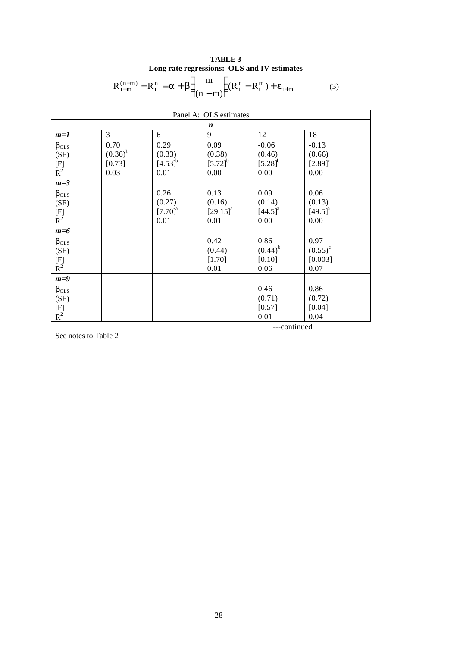| <b>TABLE 3</b>                              |  |  |  |  |  |
|---------------------------------------------|--|--|--|--|--|
| Long rate regressions: OLS and IV estimates |  |  |  |  |  |

$$
R_{t+m}^{(n-m)} - R_t^n = a + b \left( \frac{m}{(n-m)} \right) (R_t^n - R_t^m) + e_{t+m}
$$
 (3)

| Panel A: OLS estimates                                                                                                                                                                       |              |                       |                        |                       |                       |  |
|----------------------------------------------------------------------------------------------------------------------------------------------------------------------------------------------|--------------|-----------------------|------------------------|-----------------------|-----------------------|--|
|                                                                                                                                                                                              |              |                       | n                      |                       |                       |  |
| $m=1$                                                                                                                                                                                        | 3            | 6                     | 9                      | 12                    | 18                    |  |
| $\beta_{OLS}$                                                                                                                                                                                | 0.70         | 0.29                  | 0.09                   | $-0.06$               | $-0.13$               |  |
| (SE)                                                                                                                                                                                         | $(0.36)^{b}$ | (0.33)                | (0.38)                 | (0.46)                | (0.66)                |  |
| $[F]% \centering \subfloat[\centering]{{\includegraphics[scale=0.2]{img10.png} }}% \qquad \subfloat[\centering]{{\includegraphics[scale=0.2]{img11.png} }}% \caption{(a) S/N} \label{fig:1}$ | [0.73]       | $[4.53]$ <sup>b</sup> | $[5.72]^{b}$           | $[5.28]^{b}$          | $[2.89]$ <sup>c</sup> |  |
| $\mathbf{R}^2$                                                                                                                                                                               | 0.03         | 0.01                  | 0.00                   | 0.00                  | 0.00                  |  |
| $m=3$                                                                                                                                                                                        |              |                       |                        |                       |                       |  |
| $\beta_{OLS}$                                                                                                                                                                                |              | 0.26                  | 0.13                   | 0.09                  | 0.06                  |  |
| (SE)                                                                                                                                                                                         |              | (0.27)                | (0.16)                 | (0.14)                | (0.13)                |  |
| $\begin{array}{c} \n[F] \mathbf{R}^2\n\end{array}$                                                                                                                                           |              | $[7.70]$ <sup>a</sup> | $[29.15]$ <sup>a</sup> | $[44.5]$ <sup>a</sup> | $[49.5]$ <sup>a</sup> |  |
|                                                                                                                                                                                              |              | 0.01                  | 0.01                   | 0.00                  | 0.00                  |  |
| $m=6$                                                                                                                                                                                        |              |                       |                        |                       |                       |  |
| $\beta_{OLS}$                                                                                                                                                                                |              |                       | 0.42                   | 0.86                  | 0.97                  |  |
| (SE)                                                                                                                                                                                         |              |                       | (0.44)                 | $(0.44)^{b}$          | $(0.55)^{\circ}$      |  |
| $\begin{array}{c} \rm [F] \\ \rm R^2 \end{array}$                                                                                                                                            |              |                       | [1.70]                 | [0.10]                | [0.003]               |  |
|                                                                                                                                                                                              |              |                       | 0.01                   | 0.06                  | 0.07                  |  |
| $m=9$                                                                                                                                                                                        |              |                       |                        |                       |                       |  |
| $\beta_{OLS}$                                                                                                                                                                                |              |                       |                        | 0.46                  | 0.86                  |  |
| (SE)                                                                                                                                                                                         |              |                       |                        | (0.71)                | (0.72)                |  |
| $\begin{array}{c} \rm [F] \\ \rm R^2 \end{array}$                                                                                                                                            |              |                       |                        | [0.57]                | [0.04]                |  |
|                                                                                                                                                                                              |              |                       |                        | 0.01                  | 0.04                  |  |

See notes to Table 2

---continued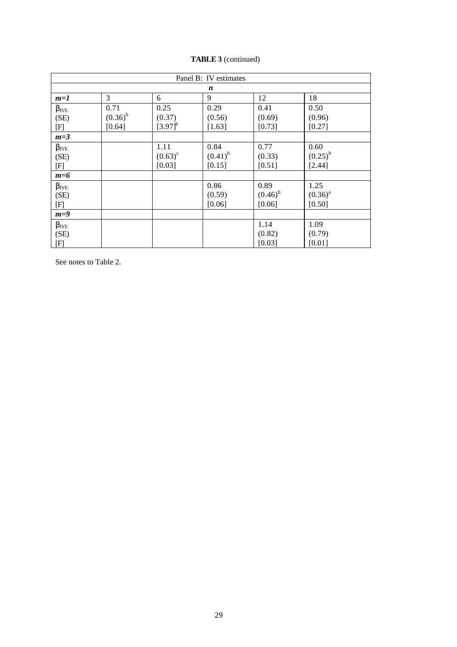| Panel B: IV estimates |              |              |              |              |              |  |  |  |
|-----------------------|--------------|--------------|--------------|--------------|--------------|--|--|--|
| $\boldsymbol{n}$      |              |              |              |              |              |  |  |  |
| $m=1$                 | 3            | 6            | 9            | 12           | 18           |  |  |  |
| $\beta_{\text{IVE}}$  | 0.71         | 0.25         | 0.29         | 0.41         | 0.50         |  |  |  |
| (SE)                  | $(0.36)^{b}$ | (0.37)       | (0.56)       | (0.69)       | (0.96)       |  |  |  |
| [F]                   | [0.64]       | $[3.97]^{b}$ | [1.63]       | [0.73]       | [0.27]       |  |  |  |
| $m=3$                 |              |              |              |              |              |  |  |  |
| $\beta_{\text{IVE}}$  |              | 1.11         | 0.84         | 0.77         | 0.60         |  |  |  |
| (SE)                  |              | $(0.63)^c$   | $(0.41)^{b}$ | (0.33)       | $(0.25)^{b}$ |  |  |  |
| [F]                   |              | [0.03]       | [0.15]       | [0.51]       | [2.44]       |  |  |  |
| $m=6$                 |              |              |              |              |              |  |  |  |
| $\beta_{IVE}$         |              |              | 0.86         | 0.89         | 1.25         |  |  |  |
| (SE)                  |              |              | (0.59)       | $(0.46)^{b}$ | $(0.36)^{a}$ |  |  |  |
| [F]                   |              |              | [0.06]       | [0.06]       | [0.50]       |  |  |  |
| $m=9$                 |              |              |              |              |              |  |  |  |
| $\beta_{\text{IVE}}$  |              |              |              | 1.14         | 1.09         |  |  |  |
| (SE)                  |              |              |              | (0.82)       | (0.79)       |  |  |  |
| [F]                   |              |              |              | [0.03]       | [0.01]       |  |  |  |

**TABLE 3** (continued)

See notes to Table 2.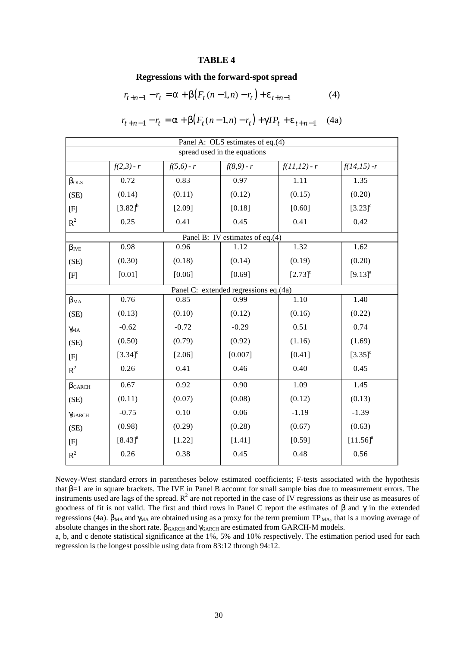#### **TABLE 4**

#### **Regressions with the forward-spot spread**

$$
r_{t+n-1} - r_t = \mathbf{a} + \mathbf{b} (F_t (n-1, n) - r_t) + \mathbf{e}_{t+n-1}
$$
 (4)

$$
r_{t+n-1} - r_t = a + b(F_t(n-1,n) - r_t) + gTP_t + e_{t+n-1} \quad (4a)
$$

| Panel A: OLS estimates of eq.(4) |                       |              |                                       |                       |                       |  |  |
|----------------------------------|-----------------------|--------------|---------------------------------------|-----------------------|-----------------------|--|--|
| spread used in the equations     |                       |              |                                       |                       |                       |  |  |
|                                  | $f(2,3) - r$          | $f(5,6) - r$ | $f(8,9) - r$                          | $f(11,12) - r$        | $f(14,15) - r$        |  |  |
| $\beta_{OLS}$                    | 0.72                  | 0.83         | 0.97                                  | 1.11                  | 1.35                  |  |  |
| (SE)                             | (0.14)                | (0.11)       | (0.12)                                | (0.15)                | (0.20)                |  |  |
| $[{\rm F}]$                      | $[3.82]^{b}$          | [2.09]       | [0.18]                                | [0.60]                | $[3.23]$ <sup>c</sup> |  |  |
| $R^2$                            | 0.25                  | 0.41         | 0.45                                  | 0.41                  | 0.42                  |  |  |
|                                  |                       |              | Panel B: IV estimates of eq.(4)       |                       |                       |  |  |
| $\beta_{IVE}$                    | 0.98                  | 0.96         | 1.12                                  | 1.32                  | 1.62                  |  |  |
| (SE)                             | (0.30)                | (0.18)       | (0.14)                                | (0.19)                | (0.20)                |  |  |
| [F]                              | $[0.01]$              | [0.06]       | [0.69]                                | $[2.73]$ <sup>c</sup> | $[9.13]$ <sup>a</sup> |  |  |
|                                  |                       |              | Panel C: extended regressions eq.(4a) |                       |                       |  |  |
| $\beta_{MA}$                     | 0.76                  | 0.85         | 0.99                                  | 1.10                  | 1.40                  |  |  |
| (SE)                             | (0.13)                | (0.10)       | (0.12)                                | (0.16)                | (0.22)                |  |  |
| $\gamma$ <sub>MA</sub>           | $-0.62$               | $-0.72$      | $-0.29$                               | 0.51                  | 0.74                  |  |  |
| (SE)                             | (0.50)                | (0.79)       | (0.92)                                | (1.16)                | (1.69)                |  |  |
| [F]                              | $[3.34]$ <sup>c</sup> | [2.06]       | [0.007]                               | [0.41]                | $[3.35]$ <sup>c</sup> |  |  |
| $R^2$                            | 0.26                  | 0.41         | 0.46                                  | 0.40                  | 0.45                  |  |  |
| $\beta$ GARCH                    | 0.67                  | 0.92         | 0.90                                  | 1.09                  | 1.45                  |  |  |
| (SE)                             | (0.11)                | (0.07)       | (0.08)                                | (0.12)                | (0.13)                |  |  |
| YGARCH                           | $-0.75$               | 0.10         | 0.06                                  | $-1.19$               | $-1.39$               |  |  |
| (SE)                             | (0.98)                | (0.29)       | (0.28)                                | (0.67)                | (0.63)                |  |  |
| [F]                              | $[8.43]$ <sup>a</sup> | [1.22]       | [1.41]                                | [0.59]                | $[11.56]^{a}$         |  |  |
| $R^2$                            | 0.26                  | 0.38         | 0.45                                  | 0.48                  | 0.56                  |  |  |

Newey-West standard errors in parentheses below estimated coefficients; F-tests associated with the hypothesis that β=1 are in square brackets. The IVE in Panel B account for small sample bias due to measurement errors. The instruments used are lags of the spread.  $R^2$  are not reported in the case of IV regressions as their use as measures of goodness of fit is not valid. The first and third rows in Panel C report the estimates of  $\beta$  and  $\gamma$  in the extended regressions (4a).  $β<sub>MA</sub>$  and γ<sub>MA</sub> are obtained using as a proxy for the term premium TP<sub>MA</sub>, that is a moving average of absolute changes in the short rate.  $\beta_{\text{GARCH}}$  and  $\gamma_{\text{GARCH}}$  are estimated from GARCH-M models.

a, b, and c denote statistical significance at the 1%, 5% and 10% respectively. The estimation period used for each regression is the longest possible using data from 83:12 through 94:12.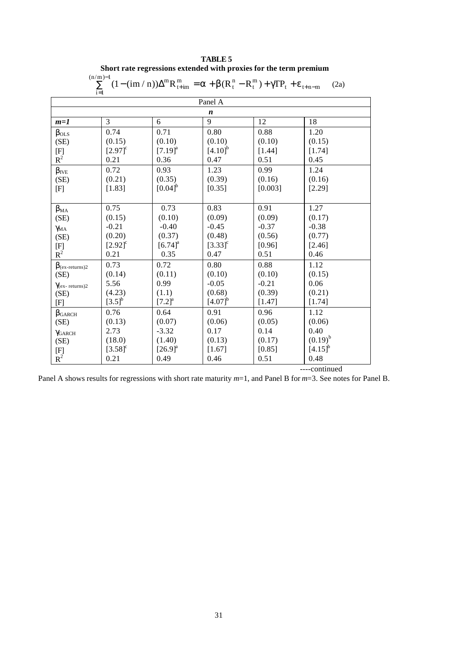| $(n/m)-1$<br>$\sum_{i=1}^{n} (1 - (\text{im} / n)) \Delta^{m} R_{t+m}^{m} = a + b (R_{t}^{n} - R_{t}^{m}) + g \text{TP}_{t} + e_{t+n-m}$<br>(2a) |                       |                       |                       |         |              |  |  |
|--------------------------------------------------------------------------------------------------------------------------------------------------|-----------------------|-----------------------|-----------------------|---------|--------------|--|--|
| $i=1$<br>Panel A                                                                                                                                 |                       |                       |                       |         |              |  |  |
|                                                                                                                                                  |                       |                       | $\boldsymbol{n}$      |         |              |  |  |
| $m=1$                                                                                                                                            | 3                     | 6                     | 9                     | 12      | 18           |  |  |
| $\beta_{OLS}$                                                                                                                                    | 0.74                  | 0.71                  | 0.80                  | 0.88    | 1.20         |  |  |
| (SE)                                                                                                                                             | (0.15)                | (0.10)                | (0.10)                | (0.10)  | (0.15)       |  |  |
| [F]                                                                                                                                              | $[2.97]$ <sup>c</sup> | $[7.19]^{a}$          | $[4.10]^{b}$          | [1.44]  | [1.74]       |  |  |
| $R^2$                                                                                                                                            | 0.21                  | 0.36                  | 0.47                  | 0.51    | 0.45         |  |  |
| $\beta_{\text{IVE}}$                                                                                                                             | 0.72                  | 0.93                  | 1.23                  | 0.99    | 1.24         |  |  |
| (SE)                                                                                                                                             | (0.21)                | (0.35)                | (0.39)                | (0.16)  | (0.16)       |  |  |
| [F]                                                                                                                                              | [1.83]                | $[0.04]^{b}$          | [0.35]                | [0.003] | [2.29]       |  |  |
|                                                                                                                                                  |                       |                       |                       |         |              |  |  |
| $\beta_{MA}$                                                                                                                                     | 0.75                  | 0.73                  | 0.83                  | 0.91    | 1.27         |  |  |
| (SE)                                                                                                                                             | (0.15)                | (0.10)                | (0.09)                | (0.09)  | (0.17)       |  |  |
| $\gamma$ <sub>MA</sub>                                                                                                                           | $-0.21$               | $-0.40$               | $-0.45$               | $-0.37$ | $-0.38$      |  |  |
| (SE)                                                                                                                                             | (0.20)                | (0.37)                | (0.48)                | (0.56)  | (0.77)       |  |  |
| [F]                                                                                                                                              | $[2.92]$ <sup>c</sup> | $[6.74]^{a}$          | $[3.33]$ <sup>c</sup> | [0.96]  | [2.46]       |  |  |
| $\overline{\mathrm{R}^2}$                                                                                                                        | 0.21                  | 0.35                  | 0.47                  | 0.51    | 0.46         |  |  |
| $\beta_{(ex-returns)2}$                                                                                                                          | 0.73                  | 0.72                  | 0.80                  | 0.88    | 1.12         |  |  |
| (SE)                                                                                                                                             | (0.14)                | (0.11)                | (0.10)                | (0.10)  | (0.15)       |  |  |
| $\gamma$ (ex-returns)2                                                                                                                           | 5.56                  | 0.99                  | $-0.05$               | $-0.21$ | 0.06         |  |  |
| (SE)                                                                                                                                             | (4.23)                | (1.1)                 | (0.68)                | (0.39)  | (0.21)       |  |  |
| [F]                                                                                                                                              | $[3.5]^{b}$           | $[7.2]$ <sup>a</sup>  | $[4.07]^{b}$          | [1.47]  | [1.74]       |  |  |
| $\beta$ <sub>GARCH</sub>                                                                                                                         | 0.76                  | 0.64                  | 0.91                  | 0.96    | 1.12         |  |  |
| (SE)                                                                                                                                             | (0.13)                | (0.07)                | (0.06)                | (0.05)  | (0.06)       |  |  |
| YGARCH                                                                                                                                           | 2.73                  | $-3.32$               | 0.17                  | 0.14    | 0.40         |  |  |
| (SE)                                                                                                                                             | (18.0)                | (1.40)                | (0.13)                | (0.17)  | $(0.19)^{b}$ |  |  |
| $\begin{array}{c} \mathrm{[F]}\\ \mathrm{R}^2 \end{array}$                                                                                       | $[3.58]$ <sup>c</sup> | $[26.9]$ <sup>a</sup> | [1.67]                | [0.85]  | $[4.15]^{b}$ |  |  |
|                                                                                                                                                  | 0.21                  | 0.49                  | 0.46                  | 0.51    | 0.48         |  |  |

| <b>TABLE 5</b>                                                    |
|-------------------------------------------------------------------|
| Short rate regressions extended with proxies for the term premium |
| $1 - 1$                                                           |

----continued

Panel A shows results for regressions with short rate maturity *m*=1, and Panel B for *m*=3. See notes for Panel B.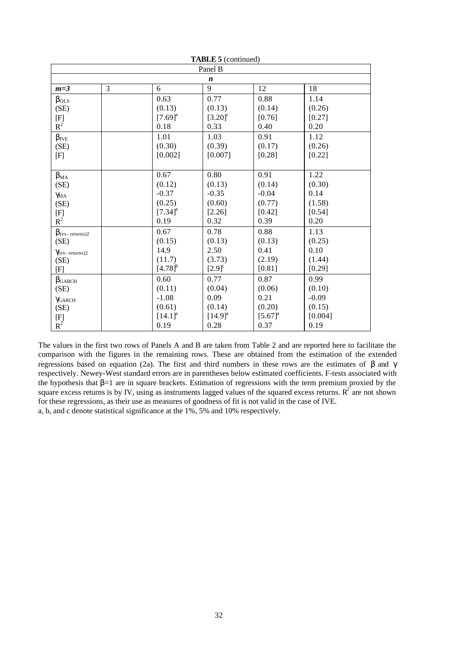| <b>TADLE</b> $\sigma$ (continued)           |   |                       |                       |                       |         |  |  |  |
|---------------------------------------------|---|-----------------------|-----------------------|-----------------------|---------|--|--|--|
| Panel B                                     |   |                       |                       |                       |         |  |  |  |
| n                                           |   |                       |                       |                       |         |  |  |  |
| $m=3$                                       | 3 | 6                     | 9                     | 12                    | 18      |  |  |  |
| $\beta_{OLS}$                               |   | 0.63                  | 0.77                  | 0.88                  | 1.14    |  |  |  |
| (SE)                                        |   | (0.13)                | (0.13)                | (0.14)                | (0.26)  |  |  |  |
| $\begin{array}{c} \n[F] \nR^2\n\end{array}$ |   | $[7.69]$ <sup>a</sup> | $[3.20]$ <sup>c</sup> | [0.76]                | [0.27]  |  |  |  |
|                                             |   | 0.18                  | 0.33                  | 0.40                  | 0.20    |  |  |  |
| $\beta_{IVE}$                               |   | 1.01                  | 1.03                  | 0.91                  | 1.12    |  |  |  |
| (SE)                                        |   | (0.30)                | (0.39)                | (0.17)                | (0.26)  |  |  |  |
| [F]                                         |   | [0.002]               | [0.007]               | [0.28]                | [0.22]  |  |  |  |
|                                             |   |                       |                       |                       |         |  |  |  |
| $\beta_{MA}$                                |   | 0.67                  | 0.80                  | 0.91                  | 1.22    |  |  |  |
| (SE)                                        |   | (0.12)                | (0.13)                | (0.14)                | (0.30)  |  |  |  |
| $\gamma$ <sub>MA</sub>                      |   | $-0.37$               | $-0.35$               | $-0.04$               | 0.14    |  |  |  |
| (SE)                                        |   | (0.25)                | (0.60)                | (0.77)                | (1.58)  |  |  |  |
|                                             |   | $[7.34]$ <sup>a</sup> | [2.26]                | $[0.42]$              | [0.54]  |  |  |  |
| $\begin{array}{c} \n[F] \nR^2\n\end{array}$ |   | 0.19                  | 0.32                  | 0.39                  | 0.20    |  |  |  |
| $\beta$ (ex-returns)2                       |   | 0.67                  | 0.78                  | 0.88                  | 1.13    |  |  |  |
| (SE)                                        |   | (0.15)                | (0.13)                | (0.13)                | (0.25)  |  |  |  |
| $\gamma$ (ex-returns)2                      |   | 14.9                  | 2.50                  | 0.41                  | 0.10    |  |  |  |
| (SE)                                        |   | (11.7)                | (3.73)                | (2.19)                | (1.44)  |  |  |  |
| [F]                                         |   | $[4.78]^{b}$          | $[2.9]^\circ$         | [0.81]                | [0.29]  |  |  |  |
| $\beta$ GARCH                               |   | 0.60                  | 0.77                  | 0.87                  | 0.99    |  |  |  |
| (SE)                                        |   | (0.11)                | (0.04)                | (0.06)                | (0.10)  |  |  |  |
| YGARCH                                      |   | $-1.08$               | 0.09                  | 0.21                  | $-0.09$ |  |  |  |
| (SE)                                        |   | (0.61)                | (0.14)                | (0.20)                | (0.15)  |  |  |  |
|                                             |   | $[14.1]$ <sup>a</sup> | $[14.9]$ <sup>a</sup> | $[5.67]$ <sup>a</sup> | [0.004] |  |  |  |
| $\begin{bmatrix} F \\ R^2 \end{bmatrix}$    |   | 0.19                  | 0.28                  | 0.37                  | 0.19    |  |  |  |

 $T_A$ **DI** $E$   $f$  (continued)

The values in the first two rows of Panels A and B are taken from Table 2 and are reported here to facilitate the comparison with the figures in the remaining rows. These are obtained from the estimation of the extended regressions based on equation (2a). The first and third numbers in these rows are the estimates of β and γ respectively. Newey-West standard errors are in parentheses below estimated coefficients. F-tests associated with the hypothesis that β=1 are in square brackets. Estimation of regressions with the term premium proxied by the square excess returns is by IV, using as instruments lagged values of the squared excess returns.  $R^2$  are not shown for these regressions, as their use as measures of goodness of fit is not valid in the case of IVE. a, b, and c denote statistical significance at the 1%, 5% and 10% respectively.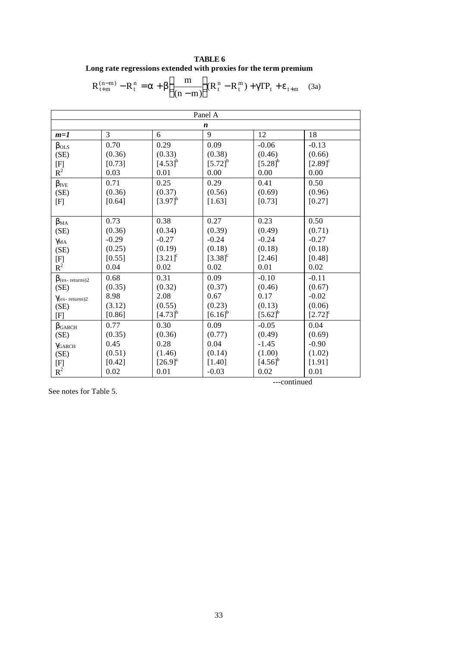**TABLE 6 Long rate regressions extended with proxies for the term premium**

$$
R_{t+m}^{(n-m)} - R_t^n = \boldsymbol{a} + \boldsymbol{b} \bigg( \frac{m}{(n-m)} \bigg) (R_t^n - R_t^m) + \boldsymbol{g} T P_t + \boldsymbol{e}_{t+m} \quad (3a)
$$

| Panel A                                                     |          |                       |                       |                       |                       |  |  |
|-------------------------------------------------------------|----------|-----------------------|-----------------------|-----------------------|-----------------------|--|--|
| $\boldsymbol{n}$                                            |          |                       |                       |                       |                       |  |  |
| $m=1$                                                       | 3        | 6                     | 9                     | 12                    | 18                    |  |  |
| $\beta_{OLS}$                                               | 0.70     | 0.29                  | 0.09                  | $-0.06$               | $-0.13$               |  |  |
| (SE)                                                        | (0.36)   | (0.33)                | (0.38)                | (0.46)                | (0.66)                |  |  |
| [F]                                                         | [0.73]   | $[4.53]$ <sup>b</sup> | $[5.72]^{b}$          | $[5.28]$ <sup>b</sup> | $[2.89]$ <sup>c</sup> |  |  |
| $R^2$                                                       | 0.03     | 0.01                  | 0.00                  | 0.00                  | 0.00                  |  |  |
| $\beta_{\text{IVE}}$                                        | 0.71     | 0.25                  | 0.29                  | 0.41                  | 0.50                  |  |  |
| (SE)                                                        | (0.36)   | (0.37)                | (0.56)                | (0.69)                | (0.96)                |  |  |
| [F]                                                         | [0.64]   | $[3.97]^{b}$          | [1.63]                | [0.73]                | [0.27]                |  |  |
|                                                             |          |                       |                       |                       |                       |  |  |
| $\beta_{MA}$                                                | 0.73     | 0.38                  | 0.27                  | 0.23                  | 0.50                  |  |  |
| (SE)                                                        | (0.36)   | (0.34)                | (0.39)                | (0.49)                | (0.71)                |  |  |
| $\gamma_{\rm MA}$                                           | $-0.29$  | $-0.27$               | $-0.24$               | $-0.24$               | $-0.27$               |  |  |
| (SE)                                                        | (0.25)   | (0.19)                | (0.18)                | (0.18)                | (0.18)                |  |  |
| $\begin{array}{c} \n\text{[F]}\\ \n\text{R}^2\n\end{array}$ | [0.55]   | $[3.21]$ <sup>c</sup> | $[3.38]$ <sup>c</sup> | [2.46]                | [0.48]                |  |  |
|                                                             | 0.04     | 0.02                  | 0.02                  | 0.01                  | 0.02                  |  |  |
| $\beta$ (ex-returns)2                                       | 0.68     | 0.31                  | 0.09                  | $-0.10$               | $-0.11$               |  |  |
| (SE)                                                        | (0.35)   | (0.32)                | (0.37)                | (0.46)                | (0.67)                |  |  |
| $\gamma$ (ex-returns)2                                      | 8.98     | 2.08                  | 0.67                  | 0.17                  | $-0.02$               |  |  |
| (SE)                                                        | (3.12)   | (0.55)                | (0.23)                | (0.13)                | (0.06)                |  |  |
| [F]                                                         | [0.86]   | $[4.73]^{b}$          | $[6.16]^{b}$          | $[5.62]^{b}$          | $[2.72]$ <sup>c</sup> |  |  |
| $\beta$ garch                                               | 0.77     | 0.30                  | 0.09                  | $-0.05$               | 0.04                  |  |  |
| (SE)                                                        | (0.35)   | (0.36)                | (0.77)                | (0.49)                | (0.69)                |  |  |
| YGARCH                                                      | 0.45     | 0.28                  | 0.04                  | $-1.45$               | $-0.90$               |  |  |
| (SE)                                                        | (0.51)   | (1.46)                | (0.14)                | (1.00)                | (1.02)                |  |  |
| $\begin{array}{c} \mathrm{[F]}\\ \mathrm{R}^2 \end{array}$  | $[0.42]$ | $[26.9]^{\text{a}}$   | $[1.40]$              | $[4.56]$ <sup>b</sup> | [1.91]                |  |  |
|                                                             | 0.02     | 0.01                  | $-0.03$               | 0.02                  | 0.01                  |  |  |

See notes for Table 5.

---continued